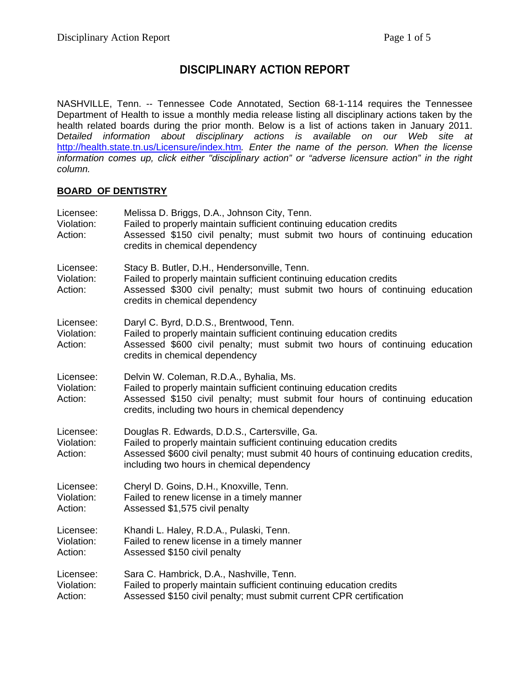# **DISCIPLINARY ACTION REPORT**

NASHVILLE, Tenn. -- Tennessee Code Annotated, Section 68-1-114 requires the Tennessee Department of Health to issue a monthly media release listing all disciplinary actions taken by the health related boards during the prior month. Below is a list of actions taken in January 2011. D*etailed information about disciplinary actions is available on our Web site at*  <http://health.state.tn.us/Licensure/index.htm>*. Enter the name of the person. When the license information comes up, click either "disciplinary action" or "adverse licensure action" in the right column.* 

### **BOARD OF DENTISTRY**

| Licensee:<br>Violation:<br>Action: | Melissa D. Briggs, D.A., Johnson City, Tenn.<br>Failed to properly maintain sufficient continuing education credits<br>Assessed \$150 civil penalty; must submit two hours of continuing education<br>credits in chemical dependency                      |
|------------------------------------|-----------------------------------------------------------------------------------------------------------------------------------------------------------------------------------------------------------------------------------------------------------|
| Licensee:<br>Violation:<br>Action: | Stacy B. Butler, D.H., Hendersonville, Tenn.<br>Failed to properly maintain sufficient continuing education credits<br>Assessed \$300 civil penalty; must submit two hours of continuing education<br>credits in chemical dependency                      |
| Licensee:<br>Violation:<br>Action: | Daryl C. Byrd, D.D.S., Brentwood, Tenn.<br>Failed to properly maintain sufficient continuing education credits<br>Assessed \$600 civil penalty; must submit two hours of continuing education<br>credits in chemical dependency                           |
| Licensee:<br>Violation:<br>Action: | Delvin W. Coleman, R.D.A., Byhalia, Ms.<br>Failed to properly maintain sufficient continuing education credits<br>Assessed \$150 civil penalty; must submit four hours of continuing education<br>credits, including two hours in chemical dependency     |
| Licensee:<br>Violation:<br>Action: | Douglas R. Edwards, D.D.S., Cartersville, Ga.<br>Failed to properly maintain sufficient continuing education credits<br>Assessed \$600 civil penalty; must submit 40 hours of continuing education credits,<br>including two hours in chemical dependency |
| Licensee:<br>Violation:<br>Action: | Cheryl D. Goins, D.H., Knoxville, Tenn.<br>Failed to renew license in a timely manner<br>Assessed \$1,575 civil penalty                                                                                                                                   |
| Licensee:<br>Violation:<br>Action: | Khandi L. Haley, R.D.A., Pulaski, Tenn.<br>Failed to renew license in a timely manner<br>Assessed \$150 civil penalty                                                                                                                                     |
| Licensee:<br>Violation:<br>Action: | Sara C. Hambrick, D.A., Nashville, Tenn.<br>Failed to properly maintain sufficient continuing education credits<br>Assessed \$150 civil penalty; must submit current CPR certification                                                                    |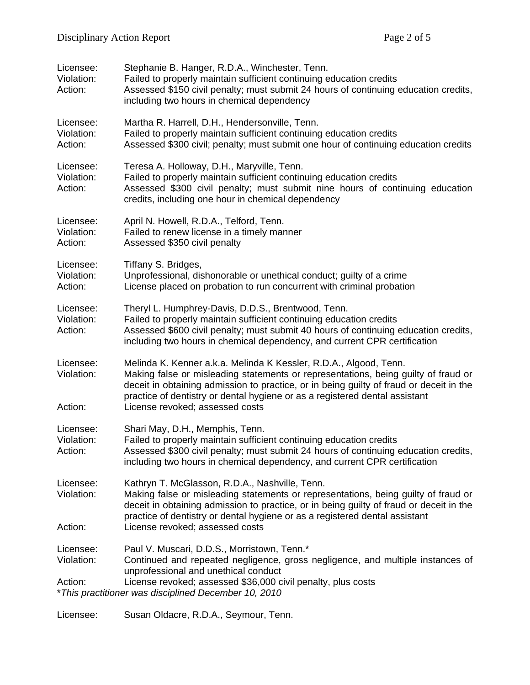| Licensee:<br>Violation:<br>Action:                                                                                              | Stephanie B. Hanger, R.D.A., Winchester, Tenn.<br>Failed to properly maintain sufficient continuing education credits<br>Assessed \$150 civil penalty; must submit 24 hours of continuing education credits,<br>including two hours in chemical dependency                                                                                                           |  |
|---------------------------------------------------------------------------------------------------------------------------------|----------------------------------------------------------------------------------------------------------------------------------------------------------------------------------------------------------------------------------------------------------------------------------------------------------------------------------------------------------------------|--|
| Licensee:<br>Violation:<br>Action:                                                                                              | Martha R. Harrell, D.H., Hendersonville, Tenn.<br>Failed to properly maintain sufficient continuing education credits<br>Assessed \$300 civil; penalty; must submit one hour of continuing education credits                                                                                                                                                         |  |
| Licensee:<br>Violation:<br>Action:                                                                                              | Teresa A. Holloway, D.H., Maryville, Tenn.<br>Failed to properly maintain sufficient continuing education credits<br>Assessed \$300 civil penalty; must submit nine hours of continuing education<br>credits, including one hour in chemical dependency                                                                                                              |  |
| Licensee:<br>Violation:<br>Action:                                                                                              | April N. Howell, R.D.A., Telford, Tenn.<br>Failed to renew license in a timely manner<br>Assessed \$350 civil penalty                                                                                                                                                                                                                                                |  |
| Licensee:<br>Violation:<br>Action:                                                                                              | Tiffany S. Bridges,<br>Unprofessional, dishonorable or unethical conduct; guilty of a crime<br>License placed on probation to run concurrent with criminal probation                                                                                                                                                                                                 |  |
| Licensee:<br>Violation:<br>Action:                                                                                              | Theryl L. Humphrey-Davis, D.D.S., Brentwood, Tenn.<br>Failed to properly maintain sufficient continuing education credits<br>Assessed \$600 civil penalty; must submit 40 hours of continuing education credits,<br>including two hours in chemical dependency, and current CPR certification                                                                        |  |
| Licensee:<br>Violation:<br>Action:                                                                                              | Melinda K. Kenner a.k.a. Melinda K Kessler, R.D.A., Algood, Tenn.<br>Making false or misleading statements or representations, being guilty of fraud or<br>deceit in obtaining admission to practice, or in being guilty of fraud or deceit in the<br>practice of dentistry or dental hygiene or as a registered dental assistant<br>License revoked; assessed costs |  |
| Licensee:<br>Violation:<br>Action:                                                                                              | Shari May, D.H., Memphis, Tenn.<br>Failed to properly maintain sufficient continuing education credits<br>Assessed \$300 civil penalty; must submit 24 hours of continuing education credits,<br>including two hours in chemical dependency, and current CPR certification                                                                                           |  |
| Licensee:<br>Violation:<br>Action:                                                                                              | Kathryn T. McGlasson, R.D.A., Nashville, Tenn.<br>Making false or misleading statements or representations, being guilty of fraud or<br>deceit in obtaining admission to practice, or in being guilty of fraud or deceit in the<br>practice of dentistry or dental hygiene or as a registered dental assistant<br>License revoked; assessed costs                    |  |
|                                                                                                                                 |                                                                                                                                                                                                                                                                                                                                                                      |  |
| Licensee:<br>Violation:                                                                                                         | Paul V. Muscari, D.D.S., Morristown, Tenn.*<br>Continued and repeated negligence, gross negligence, and multiple instances of<br>unprofessional and unethical conduct                                                                                                                                                                                                |  |
| License revoked; assessed \$36,000 civil penalty, plus costs<br>Action:<br>*This practitioner was disciplined December 10, 2010 |                                                                                                                                                                                                                                                                                                                                                                      |  |

Licensee: Susan Oldacre, R.D.A., Seymour, Tenn.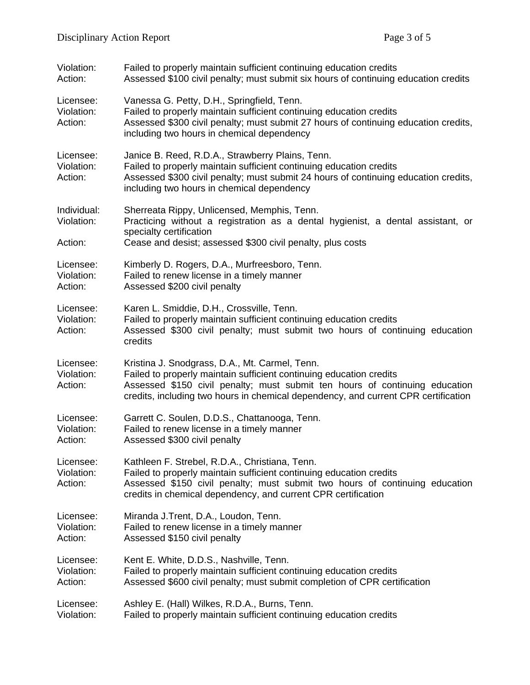| Violation:<br>Action:              | Failed to properly maintain sufficient continuing education credits<br>Assessed \$100 civil penalty; must submit six hours of continuing education credits                                                                                                                                 |
|------------------------------------|--------------------------------------------------------------------------------------------------------------------------------------------------------------------------------------------------------------------------------------------------------------------------------------------|
| Licensee:<br>Violation:<br>Action: | Vanessa G. Petty, D.H., Springfield, Tenn.<br>Failed to properly maintain sufficient continuing education credits<br>Assessed \$300 civil penalty; must submit 27 hours of continuing education credits,<br>including two hours in chemical dependency                                     |
| Licensee:<br>Violation:<br>Action: | Janice B. Reed, R.D.A., Strawberry Plains, Tenn.<br>Failed to properly maintain sufficient continuing education credits<br>Assessed \$300 civil penalty; must submit 24 hours of continuing education credits,<br>including two hours in chemical dependency                               |
| Individual:<br>Violation:          | Sherreata Rippy, Unlicensed, Memphis, Tenn.<br>Practicing without a registration as a dental hygienist, a dental assistant, or<br>specialty certification                                                                                                                                  |
| Action:                            | Cease and desist; assessed \$300 civil penalty, plus costs                                                                                                                                                                                                                                 |
| Licensee:<br>Violation:<br>Action: | Kimberly D. Rogers, D.A., Murfreesboro, Tenn.<br>Failed to renew license in a timely manner<br>Assessed \$200 civil penalty                                                                                                                                                                |
| Licensee:<br>Violation:<br>Action: | Karen L. Smiddie, D.H., Crossville, Tenn.<br>Failed to properly maintain sufficient continuing education credits<br>Assessed \$300 civil penalty; must submit two hours of continuing education<br>credits                                                                                 |
| Licensee:<br>Violation:<br>Action: | Kristina J. Snodgrass, D.A., Mt. Carmel, Tenn.<br>Failed to properly maintain sufficient continuing education credits<br>Assessed \$150 civil penalty; must submit ten hours of continuing education<br>credits, including two hours in chemical dependency, and current CPR certification |
| Licensee:<br>Violation:<br>Action: | Garrett C. Soulen, D.D.S., Chattanooga, Tenn.<br>Failed to renew license in a timely manner<br>Assessed \$300 civil penalty                                                                                                                                                                |
| Licensee:<br>Violation:<br>Action: | Kathleen F. Strebel, R.D.A., Christiana, Tenn.<br>Failed to properly maintain sufficient continuing education credits<br>Assessed \$150 civil penalty; must submit two hours of continuing education<br>credits in chemical dependency, and current CPR certification                      |
| Licensee:<br>Violation:<br>Action: | Miranda J. Trent, D.A., Loudon, Tenn.<br>Failed to renew license in a timely manner<br>Assessed \$150 civil penalty                                                                                                                                                                        |
| Licensee:<br>Violation:<br>Action: | Kent E. White, D.D.S., Nashville, Tenn.<br>Failed to properly maintain sufficient continuing education credits<br>Assessed \$600 civil penalty; must submit completion of CPR certification                                                                                                |
| Licensee:<br>Violation:            | Ashley E. (Hall) Wilkes, R.D.A., Burns, Tenn.<br>Failed to properly maintain sufficient continuing education credits                                                                                                                                                                       |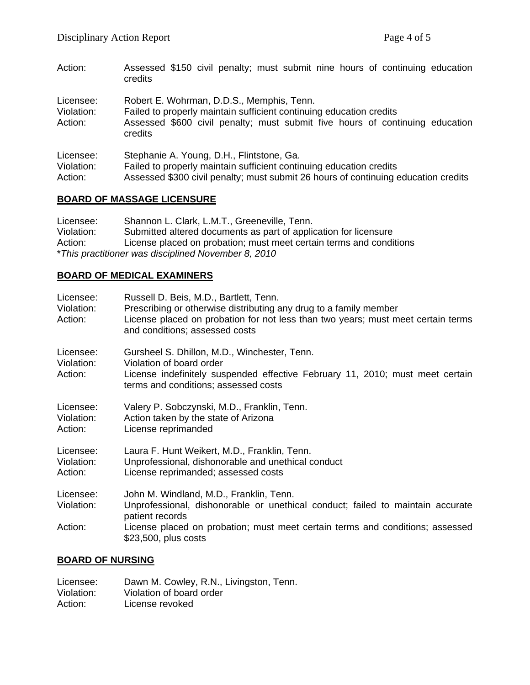Action: Assessed \$150 civil penalty; must submit nine hours of continuing education credits Licensee: Robert E. Wohrman, D.D.S., Memphis, Tenn. Violation: Failed to properly maintain sufficient continuing education credits Action: Assessed \$600 civil penalty; must submit five hours of continuing education credits Licensee: Stephanie A. Young, D.H., Flintstone, Ga. Violation: Failed to properly maintain sufficient continuing education credits Action: Assessed \$300 civil penalty; must submit 26 hours of continuing education credits

### **BOARD OF MASSAGE LICENSURE**

Licensee: Shannon L. Clark, L.M.T., Greeneville, Tenn. Violation: Submitted altered documents as part of application for licensure Action: License placed on probation; must meet certain terms and conditions \**This practitioner was disciplined November 8, 2010* 

### **BOARD OF MEDICAL EXAMINERS**

| Licensee:<br>Violation:<br>Action: | Russell D. Beis, M.D., Bartlett, Tenn.<br>Prescribing or otherwise distributing any drug to a family member<br>License placed on probation for not less than two years; must meet certain terms<br>and conditions; assessed costs |
|------------------------------------|-----------------------------------------------------------------------------------------------------------------------------------------------------------------------------------------------------------------------------------|
| Licensee:<br>Violation:<br>Action: | Gursheel S. Dhillon, M.D., Winchester, Tenn.<br>Violation of board order<br>License indefinitely suspended effective February 11, 2010; must meet certain<br>terms and conditions; assessed costs                                 |
| Licensee:<br>Violation:<br>Action: | Valery P. Sobczynski, M.D., Franklin, Tenn.<br>Action taken by the state of Arizona<br>License reprimanded                                                                                                                        |
| Licensee:<br>Violation:<br>Action: | Laura F. Hunt Weikert, M.D., Franklin, Tenn.<br>Unprofessional, dishonorable and unethical conduct<br>License reprimanded; assessed costs                                                                                         |
| Licensee:<br>Violation:            | John M. Windland, M.D., Franklin, Tenn.<br>Unprofessional, dishonorable or unethical conduct; failed to maintain accurate<br>patient records                                                                                      |
| Action:                            | License placed on probation; must meet certain terms and conditions; assessed<br>\$23,500, plus costs                                                                                                                             |

### **BOARD OF NURSING**

| Licensee:  | Dawn M. Cowley, R.N., Livingston, Tenn. |
|------------|-----------------------------------------|
| Violation: | Violation of board order                |
| Action:    | License revoked                         |